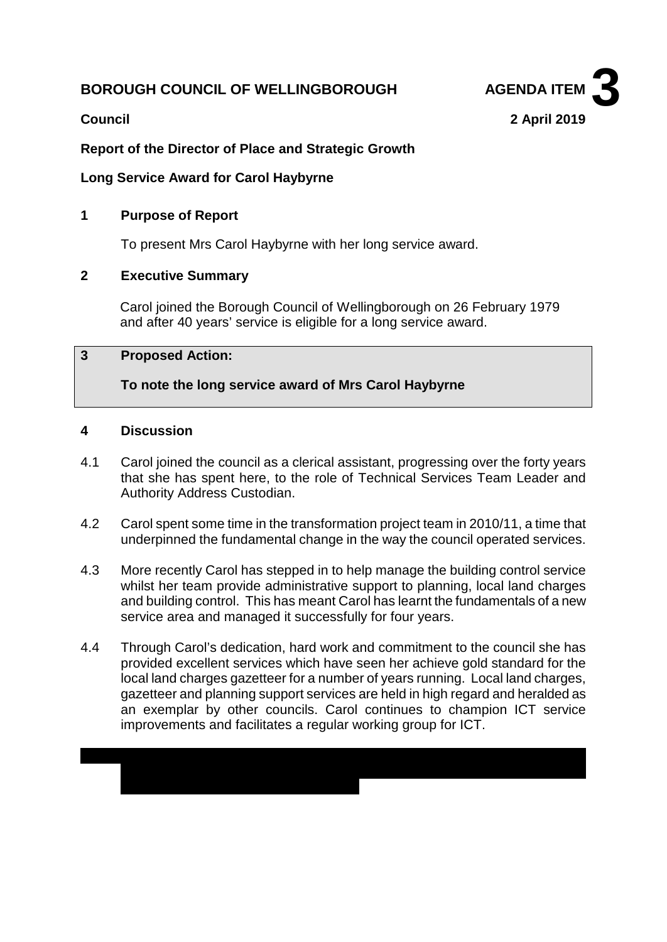# **BOROUGH COUNCIL OF WELLINGBOROUGH AGENDA ITEM**



# **Report of the Director of Place and Strategic Growth**

### **Long Service Award for Carol Haybyrne**

### **1 Purpose of Report**

To present Mrs Carol Haybyrne with her long service award.

# **2 Executive Summary**

Carol joined the Borough Council of Wellingborough on 26 February 1979 and after 40 years' service is eligible for a long service award.

#### **3 Proposed Action:**

**To note the long service award of Mrs Carol Haybyrne**

#### **4 Discussion**

- 4.1 Carol joined the council as a clerical assistant, progressing over the forty years that she has spent here, to the role of Technical Services Team Leader and Authority Address Custodian.
- 4.2 Carol spent some time in the transformation project team in 2010/11, a time that underpinned the fundamental change in the way the council operated services.
- 4.3 More recently Carol has stepped in to help manage the building control service whilst her team provide administrative support to planning, local land charges and building control. This has meant Carol has learnt the fundamentals of a new service area and managed it successfully for four years.
- 4.4 Through Carol's dedication, hard work and commitment to the council she has provided excellent services which have seen her achieve gold standard for the local land charges gazetteer for a number of years running. Local land charges, gazetteer and planning support services are held in high regard and heralded as an exemplar by other councils. Carol continues to champion ICT service improvements and facilitates a regular working group for ICT.

 $\mathcal{A} = \{A, B, C, \ldots \}$  of work  $\mathcal{A} = \{A, B, C, \ldots \}$  and spends much of her time walking in time walking in

Derbyshire and visiting National Trust properties. She enjoys visits to the theatre,